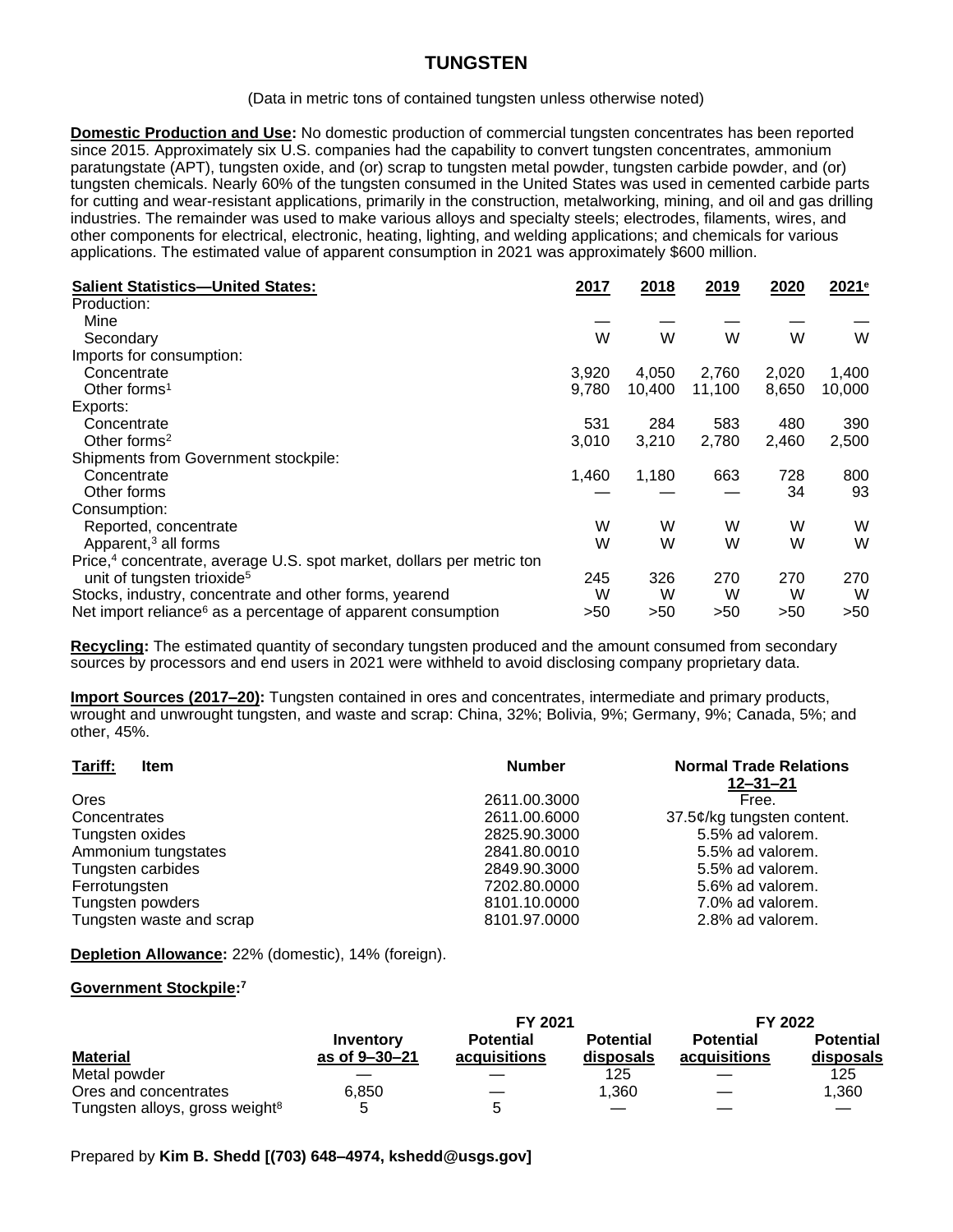## **TUNGSTEN**

(Data in metric tons of contained tungsten unless otherwise noted)

**Domestic Production and Use:** No domestic production of commercial tungsten concentrates has been reported since 2015. Approximately six U.S. companies had the capability to convert tungsten concentrates, ammonium paratungstate (APT), tungsten oxide, and (or) scrap to tungsten metal powder, tungsten carbide powder, and (or) tungsten chemicals. Nearly 60% of the tungsten consumed in the United States was used in cemented carbide parts for cutting and wear-resistant applications, primarily in the construction, metalworking, mining, and oil and gas drilling industries. The remainder was used to make various alloys and specialty steels; electrodes, filaments, wires, and other components for electrical, electronic, heating, lighting, and welding applications; and chemicals for various applications. The estimated value of apparent consumption in 2021 was approximately \$600 million.

| <b>Salient Statistics-United States:</b>                                          | 2017  | 2018   | 2019   | 2020  | 2021 <sup>e</sup> |
|-----------------------------------------------------------------------------------|-------|--------|--------|-------|-------------------|
| Production:                                                                       |       |        |        |       |                   |
| Mine                                                                              |       |        |        |       |                   |
| Secondary                                                                         | W     | W      | W      | W     | W                 |
| Imports for consumption:                                                          |       |        |        |       |                   |
| Concentrate                                                                       | 3,920 | 4,050  | 2,760  | 2,020 | 1,400             |
| Other forms <sup>1</sup>                                                          | 9,780 | 10,400 | 11,100 | 8,650 | 10,000            |
| Exports:                                                                          |       |        |        |       |                   |
| Concentrate                                                                       | 531   | 284    | 583    | 480   | 390               |
| Other forms <sup>2</sup>                                                          | 3,010 | 3,210  | 2,780  | 2,460 | 2,500             |
| Shipments from Government stockpile:                                              |       |        |        |       |                   |
| Concentrate                                                                       | 1,460 | 1,180  | 663    | 728   | 800               |
| Other forms                                                                       |       |        |        | 34    | 93                |
| Consumption:                                                                      |       |        |        |       |                   |
| Reported, concentrate                                                             | W     | W      | W      | W     | W                 |
| Apparent, <sup>3</sup> all forms                                                  | W     | W      | W      | W     | W                 |
| Price, <sup>4</sup> concentrate, average U.S. spot market, dollars per metric ton |       |        |        |       |                   |
| unit of tungsten trioxide <sup>5</sup>                                            | 245   | 326    | 270    | 270   | 270               |
| Stocks, industry, concentrate and other forms, yearend                            | W     | W      | W      | W     | W                 |
| Net import reliance <sup>6</sup> as a percentage of apparent consumption          | >50   | >50    | >50    | >50   | >50               |

**Recycling:** The estimated quantity of secondary tungsten produced and the amount consumed from secondary sources by processors and end users in 2021 were withheld to avoid disclosing company proprietary data.

**Import Sources (2017–20):** Tungsten contained in ores and concentrates, intermediate and primary products, wrought and unwrought tungsten, and waste and scrap: China, 32%; Bolivia, 9%; Germany, 9%; Canada, 5%; and other, 45%.

| Tariff:<br><b>Item</b>   | <b>Number</b> | <b>Normal Trade Relations</b><br>$12 - 31 - 21$ |
|--------------------------|---------------|-------------------------------------------------|
| <b>Ores</b>              | 2611.00.3000  | Free.                                           |
| Concentrates             | 2611.00.6000  | 37.5¢/kg tungsten content.                      |
| Tungsten oxides          | 2825.90.3000  | 5.5% ad valorem.                                |
| Ammonium tungstates      | 2841.80.0010  | 5.5% ad valorem.                                |
| Tungsten carbides        | 2849.90.3000  | 5.5% ad valorem.                                |
| Ferrotungsten            | 7202.80.0000  | 5.6% ad valorem.                                |
| Tungsten powders         | 8101.10.0000  | 7.0% ad valorem.                                |
| Tungsten waste and scrap | 8101.97.0000  | 2.8% ad valorem.                                |

**Depletion Allowance:** 22% (domestic), 14% (foreign).

## **Government Stockpile: 7**

|                                            |               | FY 2021          |                  | FY 2022          |                  |  |
|--------------------------------------------|---------------|------------------|------------------|------------------|------------------|--|
|                                            | Inventory     | <b>Potential</b> | <b>Potential</b> | <b>Potential</b> | <b>Potential</b> |  |
| <b>Material</b>                            | as of 9-30-21 | acquisitions     | disposals        | acquisitions     | disposals        |  |
| Metal powder                               |               |                  | 125              |                  | 125              |  |
| Ores and concentrates                      | 6.850         |                  | 1.360            |                  | 1.360            |  |
| Tungsten alloys, gross weight <sup>8</sup> |               | ∽                |                  |                  |                  |  |

Prepared by **Kim B. Shedd [(703) 648–4974, kshedd@usgs.gov]**